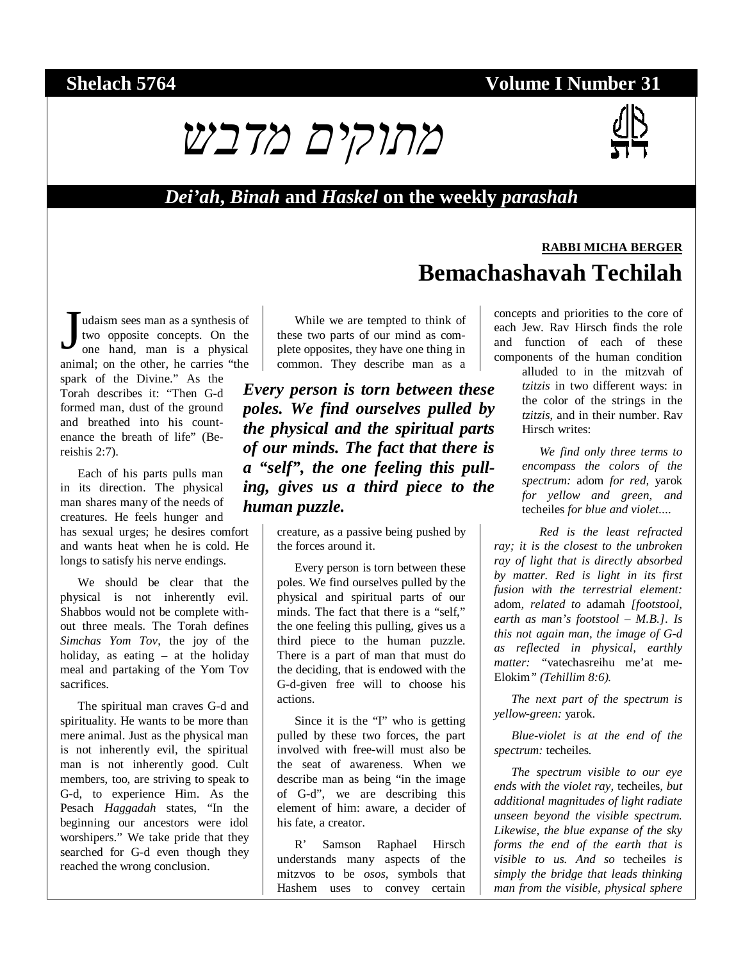## **Shelach 5764 Volume I Number 31**





**RABBI MICHA BERGER**

### *Dei'ah***,** *Binah* **and** *Haskel* **on the weekly** *parashah*

udaism sees man as a synthesis of two opposite concepts. On the one hand, man is a physical animal; on the other, he carries "the spark of the Divine." As the Torah describes it: "Then G-d formed man, dust of the ground and breathed into his countenance the breath of life" (Bereishis 2:7). J

Each of his parts pulls man in its direction. The physical man shares many of the needs of creatures. He feels hunger and has sexual urges; he desires comfort and wants heat when he is cold. He longs to satisfy his nerve endings.

We should be clear that the physical is not inherently evil. Shabbos would not be complete without three meals. The Torah defines *Simchas Yom Tov*, the joy of the holiday, as eating – at the holiday meal and partaking of the Yom Tov sacrifices.

The spiritual man craves G-d and spirituality. He wants to be more than mere animal. Just as the physical man is not inherently evil, the spiritual man is not inherently good. Cult members, too, are striving to speak to G-d, to experience Him. As the Pesach *Haggadah* states, "In the beginning our ancestors were idol worshipers." We take pride that they searched for G-d even though they reached the wrong conclusion.

While we are tempted to think of these two parts of our mind as complete opposites, they have one thing in common. They describe man as a

*Every person is torn between these poles. We find ourselves pulled by the physical and the spiritual parts of our minds. The fact that there is a "self", the one feeling this pulling, gives us a third piece to the human puzzle.* 

> creature, as a passive being pushed by the forces around it.

> Every person is torn between these poles. We find ourselves pulled by the physical and spiritual parts of our minds. The fact that there is a "self," the one feeling this pulling, gives us a third piece to the human puzzle. There is a part of man that must do the deciding, that is endowed with the G-d-given free will to choose his actions.

> Since it is the "I" who is getting pulled by these two forces, the part involved with free-will must also be the seat of awareness. When we describe man as being "in the image of G-d", we are describing this element of him: aware, a decider of his fate, a creator.

> R' Samson Raphael Hirsch understands many aspects of the mitzvos to be *osos*, symbols that Hashem uses to convey certain

concepts and priorities to the core of each Jew. Rav Hirsch finds the role and function of each of these components of the human condition

**Bemachashavah Techilah** 

alluded to in the mitzvah of *tzitzis* in two different ways: in the color of the strings in the *tzitzis*, and in their number. Rav Hirsch writes:

*We find only three terms to encompass the colors of the spectrum:* adom *for red,* yarok *for yellow and green, and*  techeiles *for blue and violet....* 

*Red is the least refracted ray; it is the closest to the unbroken ray of light that is directly absorbed by matter. Red is light in its first fusion with the terrestrial element:*  adom*, related to* adamah *[footstool, earth as man's footstool – M.B.]. Is this not again man, the image of G-d as reflected in physical, earthly matter: "*vatechasreihu me'at me-Elokim*" (Tehillim 8:6).* 

*The next part of the spectrum is yellow-green:* yarok*.* 

*Blue-violet is at the end of the spectrum:* techeiles*.* 

*The spectrum visible to our eye ends with the violet ray,* techeiles*, but additional magnitudes of light radiate unseen beyond the visible spectrum. Likewise, the blue expanse of the sky forms the end of the earth that is visible to us. And so* techeiles *is simply the bridge that leads thinking man from the visible, physical sphere*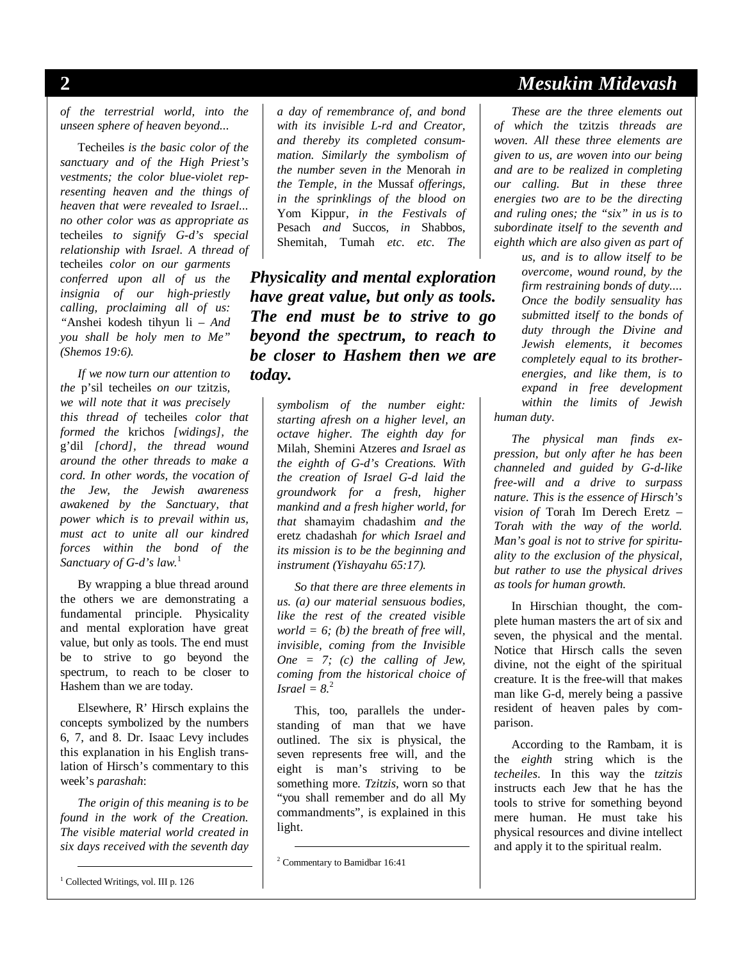*of the terrestrial world, into the unseen sphere of heaven beyond...*

Techeiles *is the basic color of the sanctuary and of the High Priest's vestments; the color blue-violet representing heaven and the things of heaven that were revealed to Israel... no other color was as appropriate as*  techeiles *to signify G-d's special relationship with Israel. A thread of*  techeiles *color on our garments conferred upon all of us the insignia of our high-priestly calling, proclaiming all of us: "*Anshei kodesh tihyun li *– And you shall be holy men to Me" (Shemos 19:6).* 

*If we now turn our attention to the* p'sil techeiles *on our* tzitzis*, we will note that it was precisely this thread of* techeiles *color that formed the* krichos *[widings], the*  g'dil *[chord], the thread wound around the other threads to make a cord. In other words, the vocation of the Jew, the Jewish awareness awakened by the Sanctuary, that power which is to prevail within us, must act to unite all our kindred forces within the bond of the Sanctuary of G-d's law.*<sup>1</sup>

By wrapping a blue thread around the others we are demonstrating a fundamental principle. Physicality and mental exploration have great value, but only as tools. The end must be to strive to go beyond the spectrum, to reach to be closer to Hashem than we are today.

Elsewhere, R' Hirsch explains the concepts symbolized by the numbers 6, 7, and 8. Dr. Isaac Levy includes this explanation in his English translation of Hirsch's commentary to this week's *parashah*:

*The origin of this meaning is to be found in the work of the Creation. The visible material world created in six days received with the seventh day* 

1 Collected Writings, vol. III p. 126

*a day of remembrance of, and bond with its invisible L-rd and Creator, and thereby its completed consummation. Similarly the symbolism of the number seven in the* Menorah *in the Temple, in the* Mussaf *offerings, in the sprinklings of the blood on*  Yom Kippur*, in the Festivals of*  Pesach *and* Succos*, in* Shabbos*,*  Shemitah, Tumah *etc. etc. The* 

*Physicality and mental exploration have great value, but only as tools. The end must be to strive to go beyond the spectrum, to reach to be closer to Hashem then we are today.* 

> *symbolism of the number eight: starting afresh on a higher level, an octave higher. The eighth day for*  Milah*,* Shemini Atzeres *and Israel as the eighth of G-d's Creations. With the creation of Israel G-d laid the groundwork for a fresh, higher mankind and a fresh higher world, for that* shamayim chadashim *and the*  eretz chadashah *for which Israel and its mission is to be the beginning and instrument (Yishayahu 65:17).*

> *So that there are three elements in us. (a) our material sensuous bodies, like the rest of the created visible world = 6; (b) the breath of free will, invisible, coming from the Invisible One = 7; (c) the calling of Jew, coming from the historical choice of Israel* =  $8<sup>2</sup>$

> This, too, parallels the understanding of man that we have outlined. The six is physical, the seven represents free will, and the eight is man's striving to be something more. *Tzitzis*, worn so that "you shall remember and do all My commandments", is explained in this light.

## **2** *Mesukim Midevash*

*These are the three elements out of which the* tzitzis *threads are woven. All these three elements are given to us, are woven into our being and are to be realized in completing our calling. But in these three energies two are to be the directing and ruling ones; the "six" in us is to subordinate itself to the seventh and eighth which are also given as part of* 

*us, and is to allow itself to be overcome, wound round, by the firm restraining bonds of duty.... Once the bodily sensuality has submitted itself to the bonds of duty through the Divine and Jewish elements, it becomes completely equal to its brotherenergies, and like them, is to expand in free development within the limits of Jewish human duty.* 

*The physical man finds expression, but only after he has been channeled and guided by G-d-like free-will and a drive to surpass nature. This is the essence of Hirsch's vision of* Torah Im Derech Eretz *– Torah with the way of the world. Man's goal is not to strive for spirituality to the exclusion of the physical, but rather to use the physical drives as tools for human growth.* 

In Hirschian thought, the complete human masters the art of six and seven, the physical and the mental. Notice that Hirsch calls the seven divine, not the eight of the spiritual creature. It is the free-will that makes man like G-d, merely being a passive resident of heaven pales by comparison.

According to the Rambam, it is the *eighth* string which is the *techeiles*. In this way the *tzitzis* instructs each Jew that he has the tools to strive for something beyond mere human. He must take his physical resources and divine intellect and apply it to the spiritual realm.

 <sup>2</sup> Commentary to Bamidbar 16:41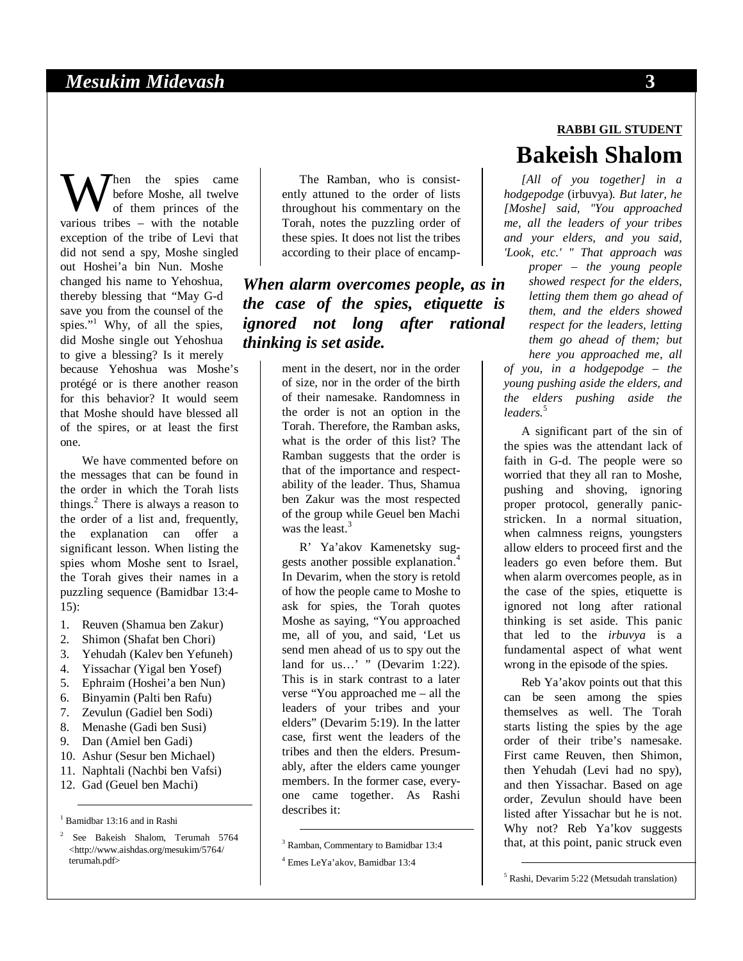hen the spies came before Moshe, all twelve of them princes of the When the spies came<br>of them princes of the<br>various tribes – with the notable exception of the tribe of Levi that did not send a spy, Moshe singled out Hoshei'a bin Nun. Moshe changed his name to Yehoshua, thereby blessing that "May G-d save you from the counsel of the spies."<sup>1</sup> Why, of all the spies, did Moshe single out Yehoshua to give a blessing? Is it merely because Yehoshua was Moshe's protégé or is there another reason for this behavior? It would seem that Moshe should have blessed all of the spires, or at least the first one.

We have commented before on the messages that can be found in the order in which the Torah lists things.<sup>2</sup> There is always a reason to the order of a list and, frequently, the explanation can offer a significant lesson. When listing the spies whom Moshe sent to Israel, the Torah gives their names in a puzzling sequence (Bamidbar 13:4- 15):

- 1. Reuven (Shamua ben Zakur)
- 2. Shimon (Shafat ben Chori)
- 3. Yehudah (Kalev ben Yefuneh)
- 4. Yissachar (Yigal ben Yosef)
- 5. Ephraim (Hoshei'a ben Nun)
- 6. Binyamin (Palti ben Rafu)
- 7. Zevulun (Gadiel ben Sodi)
- 8. Menashe (Gadi ben Susi)
- 9. Dan (Amiel ben Gadi)
- 10. Ashur (Sesur ben Michael)
- 11. Naphtali (Nachbi ben Vafsi)
- 12. Gad (Geuel ben Machi)

1 Bamidbar 13:16 and in Rashi

<sup>2</sup> See Bakeish Shalom, Terumah 5764 <http://www.aishdas.org/mesukim/5764/ terumah.pdf>

The Ramban, who is consistently attuned to the order of lists throughout his commentary on the Torah, notes the puzzling order of these spies. It does not list the tribes according to their place of encamp-

*When alarm overcomes people, as in the case of the spies, etiquette is ignored not long after rational thinking is set aside.* 

> ment in the desert, nor in the order of size, nor in the order of the birth of their namesake. Randomness in the order is not an option in the Torah. Therefore, the Ramban asks, what is the order of this list? The Ramban suggests that the order is that of the importance and respectability of the leader. Thus, Shamua ben Zakur was the most respected of the group while Geuel ben Machi was the least. $3$

> R' Ya'akov Kamenetsky suggests another possible explanation.<sup>4</sup> In Devarim, when the story is retold of how the people came to Moshe to ask for spies, the Torah quotes Moshe as saying, "You approached me, all of you, and said, 'Let us send men ahead of us to spy out the land for us...' " (Devarim 1:22). This is in stark contrast to a later verse "You approached me – all the leaders of your tribes and your elders" (Devarim 5:19). In the latter case, first went the leaders of the tribes and then the elders. Presumably, after the elders came younger members. In the former case, everyone came together. As Rashi describes it:

# **RABBI GIL STUDENT Bakeish Shalom**

*[All of you together] in a hodgepodge* (irbuvya)*. But later, he [Moshe] said, "You approached me, all the leaders of your tribes and your elders, and you said, 'Look, etc.' " That approach was proper – the young people showed respect for the elders, letting them them go ahead of them, and the elders showed respect for the leaders, letting them go ahead of them; but here you approached me, all of you, in a hodgepodge – the young pushing aside the elders, and the elders pushing aside the leaders.*<sup>5</sup>

A significant part of the sin of the spies was the attendant lack of faith in G-d. The people were so worried that they all ran to Moshe, pushing and shoving, ignoring proper protocol, generally panicstricken. In a normal situation, when calmness reigns, youngsters allow elders to proceed first and the leaders go even before them. But when alarm overcomes people, as in the case of the spies, etiquette is ignored not long after rational thinking is set aside. This panic that led to the *irbuvya* is a fundamental aspect of what went wrong in the episode of the spies.

Reb Ya'akov points out that this can be seen among the spies themselves as well. The Torah starts listing the spies by the age order of their tribe's namesake. First came Reuven, then Shimon, then Yehudah (Levi had no spy), and then Yissachar. Based on age order, Zevulun should have been listed after Yissachar but he is not. Why not? Reb Ya'kov suggests that, at this point, panic struck even

 <sup>3</sup> Ramban, Commentary to Bamidbar 13:4 4 Emes LeYa'akov, Bamidbar 13:4